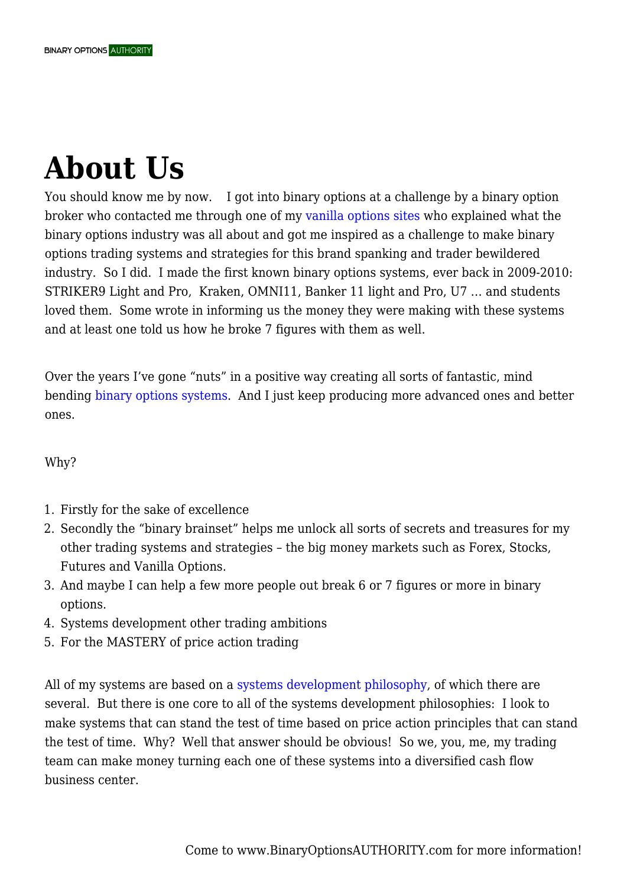## **About Us**

You should know me by now. I got into binary options at a challenge by a binary option broker who contacted me through one of my [vanilla options sites](http://optionstradingauthority.com) who explained what the binary options industry was all about and got me inspired as a challenge to make binary options trading systems and strategies for this brand spanking and trader bewildered industry. So I did. I made the first known binary options systems, ever back in 2009-2010: STRIKER9 Light and Pro, Kraken, OMNI11, Banker 11 light and Pro, U7 … and students loved them. Some wrote in informing us the money they were making with these systems and at least one told us how he broke 7 figures with them as well.

Over the years I've gone "nuts" in a positive way creating all sorts of fantastic, mind bending [binary options systems](https://binaryoptionsauthority.com/binary-options-systems/). And I just keep producing more advanced ones and better ones.

Why?

- 1. Firstly for the sake of excellence
- 2. Secondly the "binary brainset" helps me unlock all sorts of secrets and treasures for my other trading systems and strategies – the big money markets such as Forex, Stocks, Futures and Vanilla Options.
- 3. And maybe I can help a few more people out break 6 or 7 figures or more in binary options.
- 4. Systems development other trading ambitions
- 5. For the MASTERY of price action trading

All of my systems are based on a [systems development philosophy,](https://binaryoptionsauthority.com/binary-systems-development-philosophies/) of which there are several. But there is one core to all of the systems development philosophies: I look to make systems that can stand the test of time based on price action principles that can stand the test of time. Why? Well that answer should be obvious! So we, you, me, my trading team can make money turning each one of these systems into a diversified cash flow business center.